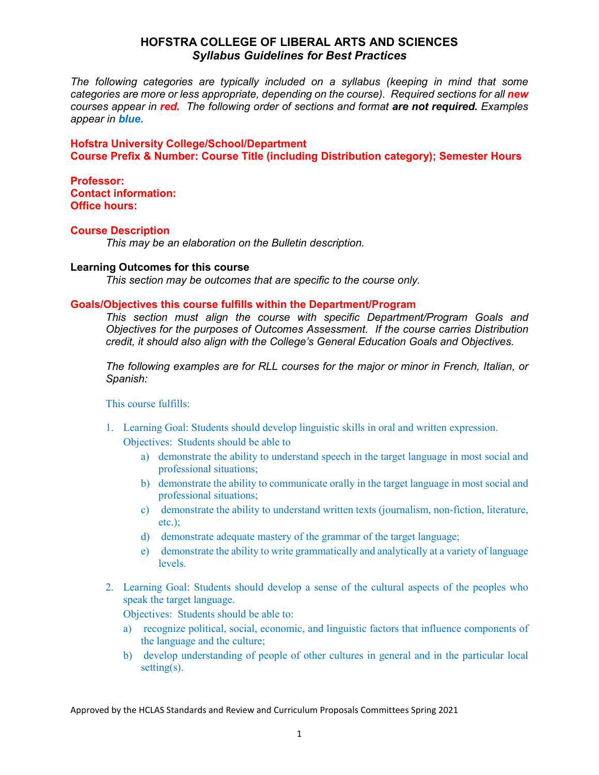# **HOFSTRA COLLEGE OF LIBERAL ARTS AND SCIENCES**  *Syllabus Guidelines for Best Practices*

*The following categories are typically included on a syllabus (keeping in mind that some categories are more or less appropriate, depending on the course). Required sections for all new courses appear in red. The following order of sections and format are not required. Examples appear in blue.*

**Hofstra University College/School/Department Course Prefix & Number: Course Title (including Distribution category); Semester Hours**

**Professor: Contact information: Office hours:**

## **Course Description**

*This may be an elaboration on the Bulletin description.*

## **Learning Outcomes for this course**

*This section may be outcomes that are specific to the course only.*

## **Goals/Objectives this course fulfills within the Department/Program**

*This section must align the course with specific Department/Program Goals and Objectives for the purposes of Outcomes Assessment. If the course carries Distribution credit, it should also align with the College's General Education Goals and Objectives.*

*The following examples are for RLL courses for the major or minor in French, Italian, or Spanish:*

This course fulfills:

- 1. Learning Goal: Students should develop linguistic skills in oral and written expression. Objectives: Students should be able to
	- a) demonstrate the ability to understand speech in the target language in most social and professional situations;
	- b) demonstrate the ability to communicate orally in the target language in most social and professional situations;
	- c) demonstrate the ability to understand written texts (journalism, non-fiction, literature, etc.);
	- d) demonstrate adequate mastery of the grammar of the target language;
	- e) demonstrate the ability to write grammatically and analytically at a variety of language levels.
- 2. Learning Goal: Students should develop a sense of the cultural aspects of the peoples who speak the target language.

Objectives: Students should be able to:

- a) recognize political, social, economic, and linguistic factors that influence components of the language and the culture;
- b) develop understanding of people of other cultures in general and in the particular local setting(s).

Approved by the HCLAS Standards and Review and Curriculum Proposals Committees Spring 2021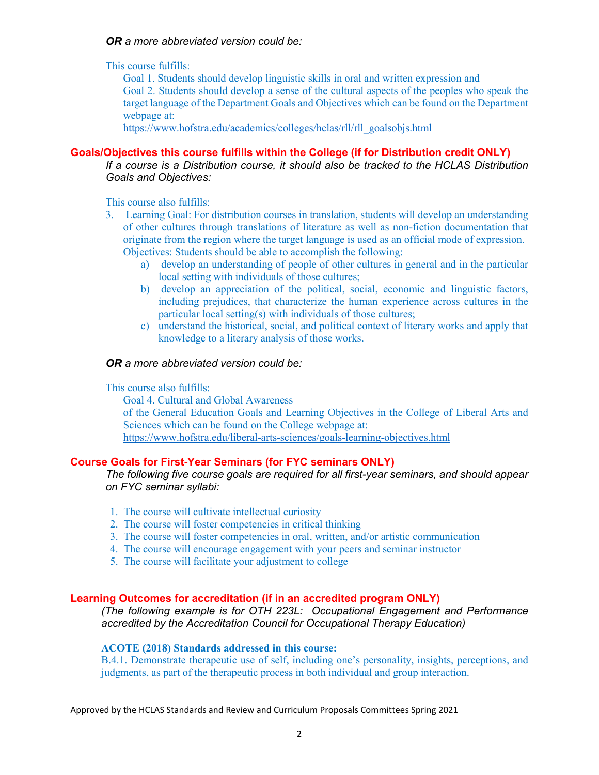# *OR a more abbreviated version could be:*

This course fulfills:

Goal 1. Students should develop linguistic skills in oral and written expression and Goal 2. Students should develop a sense of the cultural aspects of the peoples who speak the target language of the Department Goals and Objectives which can be found on the Department webpage at:

[https://www.hofstra.edu/academics/colleges/hclas/rll/rll\\_goalsobjs.html](https://www.hofstra.edu/academics/colleges/hclas/rll/rll_goalsobjs.html)

# **Goals/Objectives this course fulfills within the College (if for Distribution credit ONLY)**

*If a course is a Distribution course, it should also be tracked to the HCLAS Distribution Goals and Objectives:*

This course also fulfills:

- 3. Learning Goal: For distribution courses in translation, students will develop an understanding of other cultures through translations of literature as well as non-fiction documentation that originate from the region where the target language is used as an official mode of expression. Objectives: Students should be able to accomplish the following:
	- a) develop an understanding of people of other cultures in general and in the particular local setting with individuals of those cultures;
	- b) develop an appreciation of the political, social, economic and linguistic factors, including prejudices, that characterize the human experience across cultures in the particular local setting(s) with individuals of those cultures;
	- c) understand the historical, social, and political context of literary works and apply that knowledge to a literary analysis of those works.

# *OR a more abbreviated version could be:*

This course also fulfills:

Goal 4. Cultural and Global Awareness of the General Education Goals and Learning Objectives in the College of Liberal Arts and Sciences which can be found on the College webpage at: <https://www.hofstra.edu/liberal-arts-sciences/goals-learning-objectives.html>

# **Course Goals for First-Year Seminars (for FYC seminars ONLY)**

*The following five course goals are required for all first-year seminars, and should appear on FYC seminar syllabi:*

- 1. The course will cultivate intellectual curiosity
- 2. The course will foster competencies in critical thinking
- 3. The course will foster competencies in oral, written, and/or artistic communication
- 4. The course will encourage engagement with your peers and seminar instructor
- 5. The course will facilitate your adjustment to college

## **Learning Outcomes for accreditation (if in an accredited program ONLY)**

*(The following example is for OTH 223L: Occupational Engagement and Performance accredited by the Accreditation Council for Occupational Therapy Education)*

## **ACOTE (2018) Standards addressed in this course:**

B.4.1. Demonstrate therapeutic use of self, including one's personality, insights, perceptions, and judgments, as part of the therapeutic process in both individual and group interaction.

Approved by the HCLAS Standards and Review and Curriculum Proposals Committees Spring 2021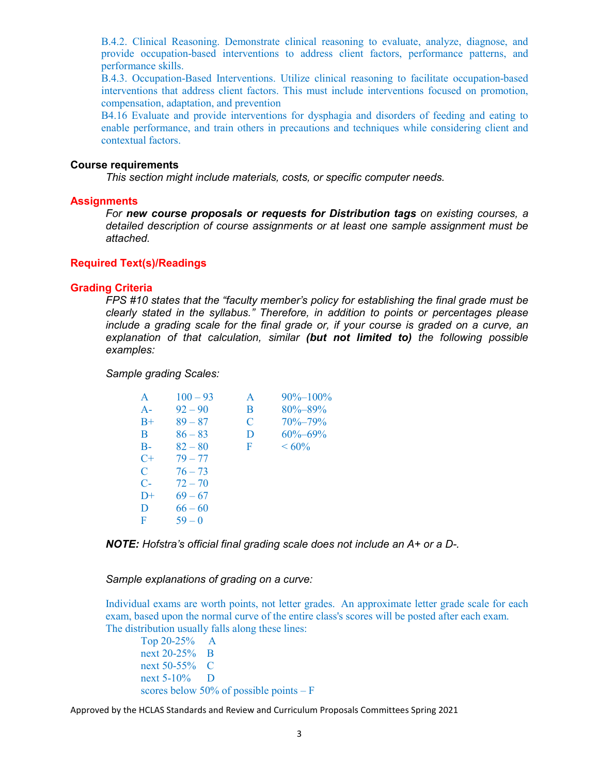B.4.2. Clinical Reasoning. Demonstrate clinical reasoning to evaluate, analyze, diagnose, and provide occupation-based interventions to address client factors, performance patterns, and performance skills.

B.4.3. Occupation-Based Interventions. Utilize clinical reasoning to facilitate occupation-based interventions that address client factors. This must include interventions focused on promotion, compensation, adaptation, and prevention

B4.16 Evaluate and provide interventions for dysphagia and disorders of feeding and eating to enable performance, and train others in precautions and techniques while considering client and contextual factors.

#### **Course requirements**

*This section might include materials, costs, or specific computer needs.*

### **Assignments**

*For new course proposals or requests for Distribution tags on existing courses, a detailed description of course assignments or at least one sample assignment must be attached.* 

# **Required Text(s)/Readings**

#### **Grading Criteria**

*FPS #10 states that the "faculty member's policy for establishing the final grade must be clearly stated in the syllabus." Therefore, in addition to points or percentages please include a grading scale for the final grade or, if your course is graded on a curve, an explanation of that calculation, similar (but not limited to) the following possible examples:*

*Sample grading Scales:*

| A           | $100 - 93$ | A | 90%-100%      |
|-------------|------------|---|---------------|
| $A -$       | $92 - 90$  | B | $80\% - 89\%$ |
| $B+$        | $89 - 87$  | C | $70\% - 79\%$ |
| B           | $86 - 83$  | D | $60\% - 69\%$ |
| $B -$       | $82 - 80$  | F | $~160\%$      |
| $C+$        | $79 - 77$  |   |               |
| $\mathbf C$ | $76 - 73$  |   |               |
| $C-$        | $72 - 70$  |   |               |
| $D+$        | $69 - 67$  |   |               |
| D           | $66 - 60$  |   |               |
| F           | $59 - 0$   |   |               |
|             |            |   |               |

*NOTE: Hofstra's official final grading scale does not include an A+ or a D-.* 

*Sample explanations of grading on a curve:*

Individual exams are worth points, not letter grades. An approximate letter grade scale for each exam, based upon the normal curve of the entire class's scores will be posted after each exam. The distribution usually falls along these lines:

Top 20-25% A next 20-25% B next 50-55% C next 5-10% D scores below 50% of possible points – F

Approved by the HCLAS Standards and Review and Curriculum Proposals Committees Spring 2021